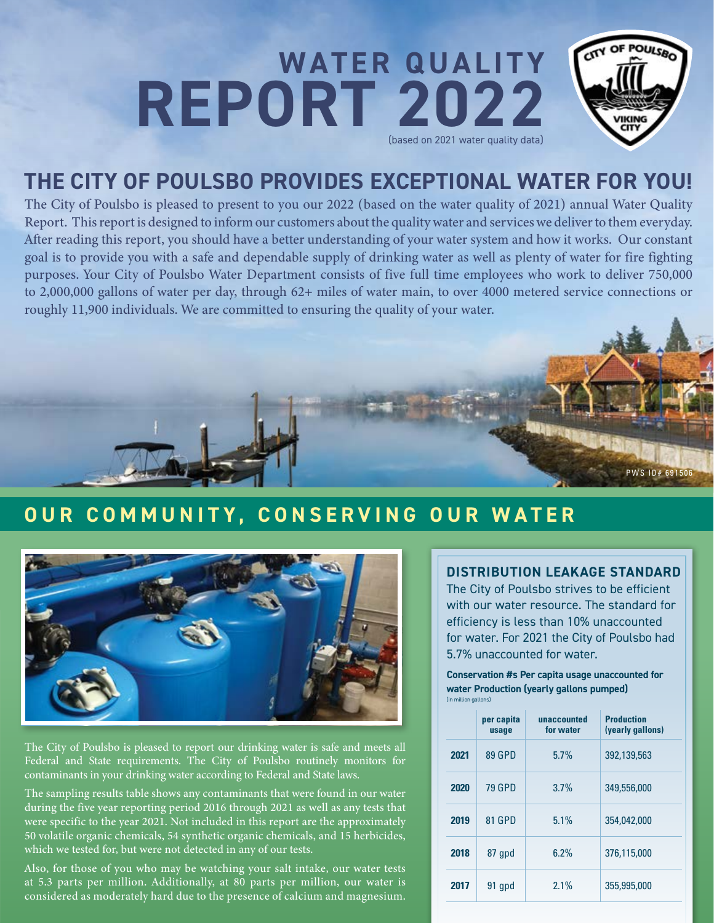## POULSBO CITY OF **WATER QUALITY REPORT 2022** (based on 2021 water quality data)

# **THE CITY OF POULSBO PROVIDES EXCEPTIONAL WATER FOR YOU!**

The City of Poulsbo is pleased to present to you our 2022 (based on the water quality of 2021) annual Water Quality Report. This report is designed to inform our customers about the quality water and services we deliver to them everyday. After reading this report, you should have a better understanding of your water system and how it works. Our constant goal is to provide you with a safe and dependable supply of drinking water as well as plenty of water for fire fighting purposes. Your City of Poulsbo Water Department consists of five full time employees who work to deliver 750,000 to 2,000,000 gallons of water per day, through 62+ miles of water main, to over 4000 metered service connections or roughly 11,900 individuals. We are committed to ensuring the quality of your water.



# **OUR COMMUNITY, CONSERVING OUR WATER**



The City of Poulsbo is pleased to report our drinking water is safe and meets all Federal and State requirements. The City of Poulsbo routinely monitors for contaminants in your drinking water according to Federal and State laws.

The sampling results table shows any contaminants that were found in our water during the five year reporting period 2016 through 2021 as well as any tests that were specific to the year 2021. Not included in this report are the approximately 50 volatile organic chemicals, 54 synthetic organic chemicals, and 15 herbicides, which we tested for, but were not detected in any of our tests.

Also, for those of you who may be watching your salt intake, our water tests at 5.3 parts per million. Additionally, at 80 parts per million, our water is considered as moderately hard due to the presence of calcium and magnesium.

### **DISTRIBUTION LEAKAGE STANDARD**

The City of Poulsbo strives to be efficient with our water resource. The standard for efficiency is less than 10% unaccounted for water. For 2021 the City of Poulsbo had 5.7% unaccounted for water.

**Conservation #s Per capita usage unaccounted for water Production (yearly gallons pumped)**  (in million gallons)

|      | per capita<br>usage | unaccounted<br>for water | <b>Production</b><br>(yearly gallons) |
|------|---------------------|--------------------------|---------------------------------------|
| 2021 | 89 GPD              | 5.7%                     | 392,139,563                           |
| 2020 | <b>79 GPD</b>       | 3.7%                     | 349,556,000                           |
| 2019 | 81 GPD              | 5.1%                     | 354,042,000                           |
| 2018 | 87 qpd              | 6.2%                     | 376,115,000                           |
| 2017 | 91 apd              | 2.1%                     | 355,995,000                           |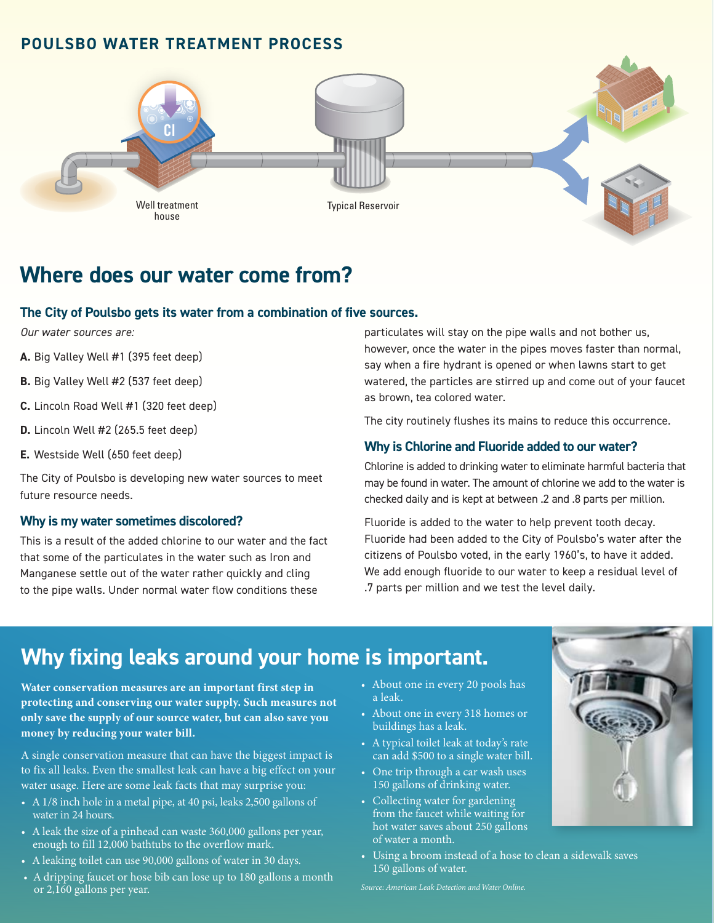### **POULSBO WATER TREATMENT PROCESS**



# **Where does our water come from?**

#### **The City of Poulsbo gets its water from a combination of five sources.**

*Our water sources are:* 

- **A.** Big Valley Well #1 (395 feet deep)
- **B.** Big Valley Well #2 (537 feet deep)
- **C.** Lincoln Road Well #1 (320 feet deep)
- **D.** Lincoln Well #2 (265.5 feet deep)
- **E.** Westside Well (650 feet deep)

The City of Poulsbo is developing new water sources to meet future resource needs.

#### **Why is my water sometimes discolored?**

This is a result of the added chlorine to our water and the fact that some of the particulates in the water such as Iron and Manganese settle out of the water rather quickly and cling to the pipe walls. Under normal water flow conditions these

particulates will stay on the pipe walls and not bother us, however, once the water in the pipes moves faster than normal, say when a fire hydrant is opened or when lawns start to get watered, the particles are stirred up and come out of your faucet as brown, tea colored water.

The city routinely flushes its mains to reduce this occurrence.

#### **Why is Chlorine and Fluoride added to our water?**

Chlorine is added to drinking water to eliminate harmful bacteria that may be found in water. The amount of chlorine we add to the water is checked daily and is kept at between .2 and .8 parts per million.

Fluoride is added to the water to help prevent tooth decay. Fluoride had been added to the City of Poulsbo's water after the citizens of Poulsbo voted, in the early 1960's, to have it added. We add enough fluoride to our water to keep a residual level of .7 parts per million and we test the level daily.

# **Why fixing leaks around your home is important.**

**Water conservation measures are an important first step in protecting and conserving our water supply. Such measures not only save the supply of our source water, but can also save you money by reducing your water bill.** 

A single conservation measure that can have the biggest impact is to fix all leaks. Even the smallest leak can have a big effect on your water usage. Here are some leak facts that may surprise you:

- A 1/8 inch hole in a metal pipe, at 40 psi, leaks 2,500 gallons of water in 24 hours.
- A leak the size of a pinhead can waste 360,000 gallons per year, enough to fill 12,000 bathtubs to the overflow mark.
- A leaking toilet can use 90,000 gallons of water in 30 days.
- A dripping faucet or hose bib can lose up to 180 gallons a month or 2,160 gallons per year.
- About one in every 20 pools has a leak.
- About one in every 318 homes or buildings has a leak.
- A typical toilet leak at today's rate can add \$500 to a single water bill.
- One trip through a car wash uses 150 gallons of drinking water.
- Collecting water for gardening from the faucet while waiting for hot water saves about 250 gallons of water a month.
- Using a broom instead of a hose to clean a sidewalk saves 150 gallons of water.



*Source: American Leak Detection and Water Online.*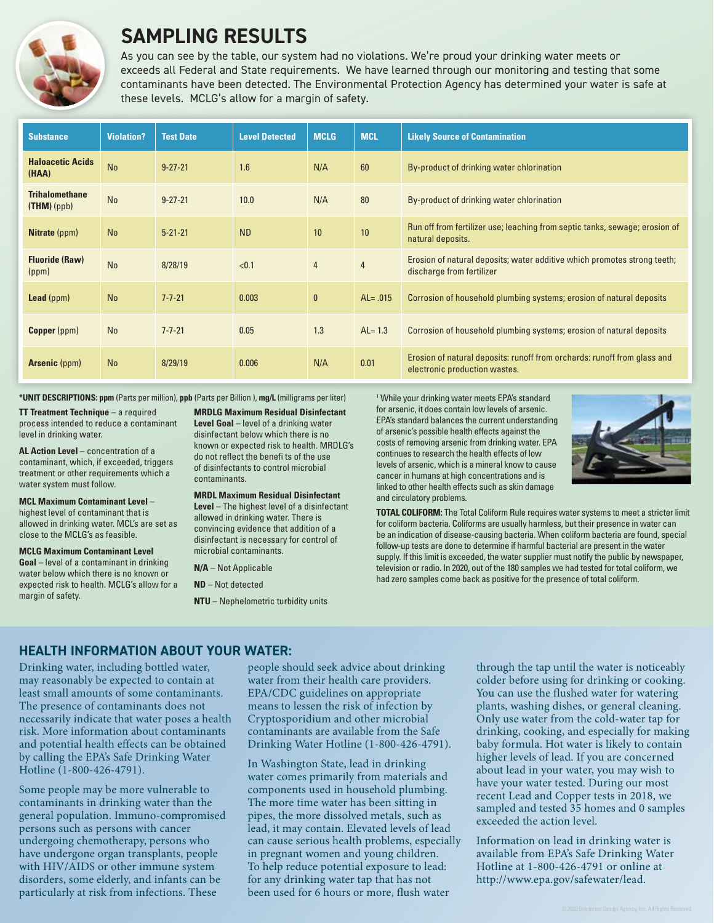

## **SAMPLING RESULTS**

As you can see by the table, our system had no violations. We're proud your drinking water meets or exceeds all Federal and State requirements. We have learned through our monitoring and testing that some contaminants have been detected. The Environmental Protection Agency has determined your water is safe at these levels. MCLG's allow for a margin of safety.

| <b>Substance</b>                    | <b>Violation?</b> | <b>Test Date</b> | <b>Level Detected</b> | <b>MCLG</b>    | <b>MCL</b>     | <b>Likely Source of Contamination</b>                                                                     |
|-------------------------------------|-------------------|------------------|-----------------------|----------------|----------------|-----------------------------------------------------------------------------------------------------------|
| <b>Haloacetic Acids</b><br>(HAA)    | <b>No</b>         | $9 - 27 - 21$    | 1.6                   | N/A            | 60             | By-product of drinking water chlorination                                                                 |
| <b>Trihalomethane</b><br>(THM)(ppb) | <b>No</b>         | $9 - 27 - 21$    | 10.0                  | N/A            | 80             | By-product of drinking water chlorination                                                                 |
| <b>Nitrate</b> (ppm)                | <b>No</b>         | $5 - 21 - 21$    | <b>ND</b>             | 10             | 10             | Run off from fertilizer use; leaching from septic tanks, sewage; erosion of<br>natural deposits.          |
| <b>Fluoride (Raw)</b><br>(ppm)      | <b>No</b>         | 8/28/19          | < 0.1                 | $\overline{4}$ | $\overline{4}$ | Erosion of natural deposits; water additive which promotes strong teeth;<br>discharge from fertilizer     |
| <b>Lead</b> ( $ppm$ )               | <b>No</b>         | $7 - 7 - 21$     | 0.003                 | $\mathbf{0}$   | $AL = .015$    | Corrosion of household plumbing systems; erosion of natural deposits                                      |
| <b>Copper</b> (ppm)                 | <b>No</b>         | $7 - 7 - 21$     | 0.05                  | 1.3            | $AL = 1.3$     | Corrosion of household plumbing systems; erosion of natural deposits                                      |
| <b>Arsenic (ppm)</b>                | <b>No</b>         | 8/29/19          | 0.006                 | N/A            | 0.01           | Erosion of natural deposits: runoff from orchards: runoff from glass and<br>electronic production wastes. |

**\*UNIT DESCRIPTIONS: ppm** (Parts per million), **ppb** (Parts per Billion ), **mg/L** (milligrams per liter)

**TT Treatment Technique** – a required process intended to reduce a contaminant level in drinking water.

**AL Action Level** – concentration of a contaminant, which, if exceeded, triggers treatment or other requirements which a water system must follow.

**MCL Maximum Contaminant Level** – highest level of contaminant that is allowed in drinking water. MCL's are set as close to the MCLG's as feasible.

**MCLG Maximum Contaminant Level Goal** – level of a contaminant in drinking water below which there is no known or expected risk to health. MCLG's allow for a margin of safety.

**MRDLG Maximum Residual Disinfectant** 

**Level Goal** – level of a drinking water disinfectant below which there is no known or expected risk to health. MRDLG's do not reflect the benefi ts of the use of disinfectants to control microbial contaminants.

**MRDL Maximum Residual Disinfectant** 

**Level** – The highest level of a disinfectant allowed in drinking water. There is convincing evidence that addition of a disinfectant is necessary for control of microbial contaminants.

**N/A** – Not Applicable

**ND** – Not detected

**NTU** – Nephelometric turbidity units

<sup>1</sup> While your drinking water meets EPA's standard for arsenic, it does contain low levels of arsenic. EPA's standard balances the current understanding of arsenic's possible health effects against the costs of removing arsenic from drinking water. EPA continues to research the health effects of low levels of arsenic, which is a mineral know to cause cancer in humans at high concentrations and is linked to other health effects such as skin damage and circulatory problems.



**TOTAL COLIFORM:** The Total Coliform Rule requires water systems to meet a stricter limit for coliform bacteria. Coliforms are usually harmless, but their presence in water can be an indication of disease-causing bacteria. When coliform bacteria are found, special follow-up tests are done to determine if harmful bacterial are present in the water supply. If this limit is exceeded, the water supplier must notify the public by newspaper, television or radio. In 2020, out of the 180 samples we had tested for total coliform, we had zero samples come back as positive for the presence of total coliform.

### **HEALTH INFORMATION ABOUT YOUR WATER:**

Drinking water, including bottled water, may reasonably be expected to contain at least small amounts of some contaminants. The presence of contaminants does not necessarily indicate that water poses a health risk. More information about contaminants and potential health effects can be obtained by calling the EPA's Safe Drinking Water Hotline (1-800-426-4791).

Some people may be more vulnerable to contaminants in drinking water than the general population. Immuno-compromised persons such as persons with cancer undergoing chemotherapy, persons who have undergone organ transplants, people with HIV/AIDS or other immune system disorders, some elderly, and infants can be particularly at risk from infections. These

people should seek advice about drinking water from their health care providers. EPA/CDC guidelines on appropriate means to lessen the risk of infection by Cryptosporidium and other microbial contaminants are available from the Safe Drinking Water Hotline (1-800-426-4791).

In Washington State, lead in drinking water comes primarily from materials and components used in household plumbing. The more time water has been sitting in pipes, the more dissolved metals, such as lead, it may contain. Elevated levels of lead can cause serious health problems, especially in pregnant women and young children. To help reduce potential exposure to lead: for any drinking water tap that has not been used for 6 hours or more, flush water

through the tap until the water is noticeably colder before using for drinking or cooking. You can use the flushed water for watering plants, washing dishes, or general cleaning. Only use water from the cold-water tap for drinking, cooking, and especially for making baby formula. Hot water is likely to contain higher levels of lead. If you are concerned about lead in your water, you may wish to have your water tested. During our most recent Lead and Copper tests in 2018, we sampled and tested 35 homes and 0 samples exceeded the action level.

Information on lead in drinking water is available from EPA's Safe Drinking Water Hotline at 1-800-426-4791 or online at http://www.epa.gov/safewater/lead.